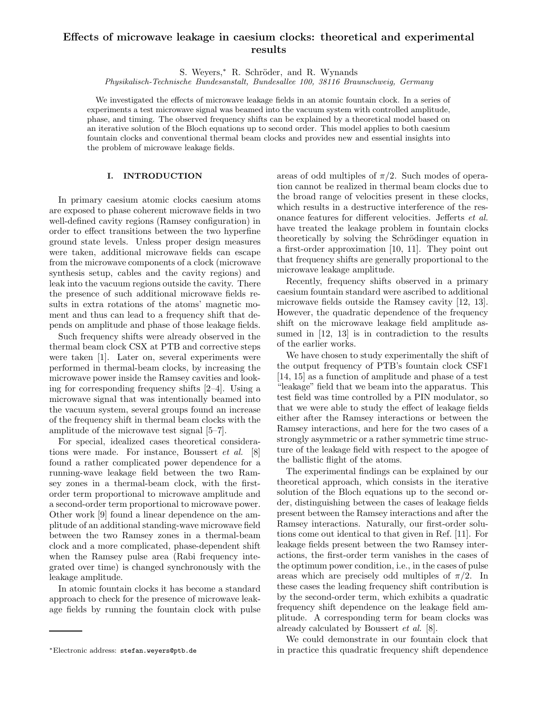# **Effects of microwave leakage in caesium clocks: theoretical and experimental results**

S. Weyers,\* R. Schröder, and R. Wynands

*Physikalisch-Technische Bundesanstalt, Bundesallee 100, 38116 Braunschweig, Germany*

We investigated the effects of microwave leakage fields in an atomic fountain clock. In a series of experiments a test microwave signal was beamed into the vacuum system with controlled amplitude, phase, and timing. The observed frequency shifts can be explained by a theoretical model based on an iterative solution of the Bloch equations up to second order. This model applies to both caesium fountain clocks and conventional thermal beam clocks and provides new and essential insights into the problem of microwave leakage fields.

## **I. INTRODUCTION**

In primary caesium atomic clocks caesium atoms are exposed to phase coherent microwave fields in two well-defined cavity regions (Ramsey configuration) in order to effect transitions between the two hyperfine ground state levels. Unless proper design measures were taken, additional microwave fields can escape from the microwave components of a clock (microwave synthesis setup, cables and the cavity regions) and leak into the vacuum regions outside the cavity. There the presence of such additional microwave fields results in extra rotations of the atoms' magnetic moment and thus can lead to a frequency shift that depends on amplitude and phase of those leakage fields.

Such frequency shifts were already observed in the thermal beam clock CSX at PTB and corrective steps were taken [1]. Later on, several experiments were performed in thermal-beam clocks, by increasing the microwave power inside the Ramsey cavities and looking for corresponding frequency shifts [2–4]. Using a microwave signal that was intentionally beamed into the vacuum system, several groups found an increase of the frequency shift in thermal beam clocks with the amplitude of the microwave test signal [5–7].

For special, idealized cases theoretical considerations were made. For instance, Boussert *et al.* [8] found a rather complicated power dependence for a running-wave leakage field between the two Ramsey zones in a thermal-beam clock, with the firstorder term proportional to microwave amplitude and a second-order term proportional to microwave power. Other work [9] found a linear dependence on the amplitude of an additional standing-wave microwave field between the two Ramsey zones in a thermal-beam clock and a more complicated, phase-dependent shift when the Ramsey pulse area (Rabi frequency integrated over time) is changed synchronously with the leakage amplitude.

In atomic fountain clocks it has become a standard approach to check for the presence of microwave leakage fields by running the fountain clock with pulse areas of odd multiples of  $\pi/2$ . Such modes of operation cannot be realized in thermal beam clocks due to the broad range of velocities present in these clocks, which results in a destructive interference of the resonance features for different velocities. Jefferts *et al.* have treated the leakage problem in fountain clocks theoretically by solving the Schrödinger equation in a first-order approximation [10, 11]. They point out that frequency shifts are generally proportional to the microwave leakage amplitude.

Recently, frequency shifts observed in a primary caesium fountain standard were ascribed to additional microwave fields outside the Ramsey cavity [12, 13]. However, the quadratic dependence of the frequency shift on the microwave leakage field amplitude assumed in [12, 13] is in contradiction to the results of the earlier works.

We have chosen to study experimentally the shift of the output frequency of PTB's fountain clock CSF1 [14, 15] as a function of amplitude and phase of a test "leakage" field that we beam into the apparatus. This test field was time controlled by a PIN modulator, so that we were able to study the effect of leakage fields either after the Ramsey interactions or between the Ramsey interactions, and here for the two cases of a strongly asymmetric or a rather symmetric time structure of the leakage field with respect to the apogee of the ballistic flight of the atoms.

The experimental findings can be explained by our theoretical approach, which consists in the iterative solution of the Bloch equations up to the second order, distinguishing between the cases of leakage fields present between the Ramsey interactions and after the Ramsey interactions. Naturally, our first-order solutions come out identical to that given in Ref. [11]. For leakage fields present between the two Ramsey interactions, the first-order term vanishes in the cases of the optimum power condition, i.e., in the cases of pulse areas which are precisely odd multiples of  $\pi/2$ . In these cases the leading frequency shift contribution is by the second-order term, which exhibits a quadratic frequency shift dependence on the leakage field amplitude. A corresponding term for beam clocks was already calculated by Boussert *et al.* [8].

We could demonstrate in our fountain clock that in practice this quadratic frequency shift dependence

<sup>∗</sup>Electronic address: stefan.weyers@ptb.de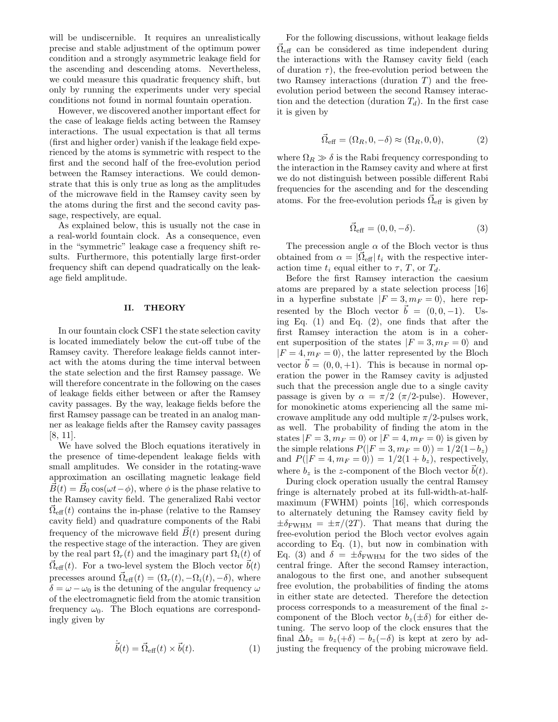will be undiscernible. It requires an unrealistically precise and stable adjustment of the optimum power condition and a strongly asymmetric leakage field for the ascending and descending atoms. Nevertheless, we could measure this quadratic frequency shift, but only by running the experiments under very special conditions not found in normal fountain operation.

However, we discovered another important effect for the case of leakage fields acting between the Ramsey interactions. The usual expectation is that all terms (first and higher order) vanish if the leakage field experienced by the atoms is symmetric with respect to the first and the second half of the free-evolution period between the Ramsey interactions. We could demonstrate that this is only true as long as the amplitudes of the microwave field in the Ramsey cavity seen by the atoms during the first and the second cavity passage, respectively, are equal.

As explained below, this is usually not the case in a real-world fountain clock. As a consequence, even in the "symmetric" leakage case a frequency shift results. Furthermore, this potentially large first-order frequency shift can depend quadratically on the leakage field amplitude.

### **II. THEORY**

In our fountain clock CSF1 the state selection cavity is located immediately below the cut-off tube of the Ramsey cavity. Therefore leakage fields cannot interact with the atoms during the time interval between the state selection and the first Ramsey passage. We will therefore concentrate in the following on the cases of leakage fields either between or after the Ramsey cavity passages. By the way, leakage fields before the first Ramsey passage can be treated in an analog manner as leakage fields after the Ramsey cavity passages [8, 11].

We have solved the Bloch equations iteratively in the presence of time-dependent leakage fields with small amplitudes. We consider in the rotating-wave approximation an oscillating magnetic leakage field  $\vec{B}(t) = \vec{B}_0 \cos(\omega t - \phi)$ , where  $\phi$  is the phase relative to the Ramsey cavity field. The generalized Rabi vector  $\vec{\Omega}_{\text{eff}}(t)$  contains the in-phase (relative to the Ramsey cavity field) and quadrature components of the Rabi frequency of the microwave field  $\vec{B}(t)$  present during the respective stage of the interaction. They are given by the real part  $\Omega_r(t)$  and the imaginary part  $\Omega_i(t)$  of  $\Omega_{\text{eff}}(t)$ . For a two-level system the Bloch vector  $\vec{b}(t)$ precesses around  $\overrightarrow{\Omega}_{\text{eff}}(t) = (\Omega_r(t), -\Omega_i(t), -\delta)$ , where  $\delta = \omega - \omega_0$  is the detuning of the angular frequency  $\omega$ of the electromagnetic field from the atomic transition frequency  $\omega_0$ . The Bloch equations are correspondingly given by

$$
\dot{\vec{b}}(t) = \vec{\Omega}_{\text{eff}}(t) \times \vec{b}(t). \tag{1}
$$

For the following discussions, without leakage fields  $\vec{\Omega}_{\text{eff}}$  can be considered as time independent during the interactions with the Ramsey cavity field (each of duration  $\tau$ ), the free-evolution period between the two Ramsey interactions (duration  $T$ ) and the freeevolution period between the second Ramsey interaction and the detection (duration  $T_d$ ). In the first case it is given by

$$
\vec{\Omega}_{\text{eff}} = (\Omega_R, 0, -\delta) \approx (\Omega_R, 0, 0), \tag{2}
$$

where  $\Omega_R \gg \delta$  is the Rabi frequency corresponding to the interaction in the Ramsey cavity and where at first we do not distinguish between possible different Rabi frequencies for the ascending and for the descending atoms. For the free-evolution periods  $\vec{\Omega}_{\text{eff}}$  is given by

$$
\vec{\Omega}_{\text{eff}} = (0, 0, -\delta). \tag{3}
$$

The precession angle  $\alpha$  of the Bloch vector is thus obtained from  $\alpha = |\Omega_{\text{eff}}| t_i$  with the respective interaction time  $t_i$  equal either to  $\tau$ ,  $T$ , or  $T_d$ .

Before the first Ramsey interaction the caesium atoms are prepared by a state selection process [16] in a hyperfine substate  $|F = 3, m_F = 0\rangle$ , here represented by the Bloch vector  $\vec{b} = (0, 0, -1)$ . Using Eq.  $(1)$  and Eq.  $(2)$ , one finds that after the first Ramsey interaction the atom is in a coherent superposition of the states  $|F = 3, m_F = 0\rangle$  and  $|F = 4, m_F = 0\rangle$ , the latter represented by the Bloch vector  $\vec{b} = (0, 0, +1)$ . This is because in normal operation the power in the Ramsey cavity is adjusted such that the precession angle due to a single cavity passage is given by  $\alpha = \pi/2$  ( $\pi/2$ -pulse). However, for monokinetic atoms experiencing all the same microwave amplitude any odd multiple  $\pi/2$ -pulses work, as well. The probability of finding the atom in the states  $|F = 3, m_F = 0\rangle$  or  $|F = 4, m_F = 0\rangle$  is given by the simple relations  $P(|F = 3, m_F = 0\rangle) = 1/2(1-b_z)$ and  $P(|F = 4, m_F = 0\rangle) = 1/2(1 + b_z)$ , respectively, where  $b_z$  is the z-component of the Bloch vector  $\vec{b}(t)$ .

During clock operation usually the central Ramsey fringe is alternately probed at its full-width-at-halfmaximum (FWHM) points [16], which corresponds to alternately detuning the Ramsey cavity field by  $\pm \delta_{\rm FWHM} = \pm \pi/(2T)$ . That means that during the free-evolution period the Bloch vector evolves again according to Eq. (1), but now in combination with Eq. (3) and  $\delta = \pm \delta_{\rm FWHM}$  for the two sides of the central fringe. After the second Ramsey interaction, analogous to the first one, and another subsequent free evolution, the probabilities of finding the atoms in either state are detected. Therefore the detection process corresponds to a measurement of the final zcomponent of the Bloch vector  $b_z(\pm\delta)$  for either detuning. The servo loop of the clock ensures that the final  $\Delta b_z = b_z(+\delta) - b_z(-\delta)$  is kept at zero by adjusting the frequency of the probing microwave field.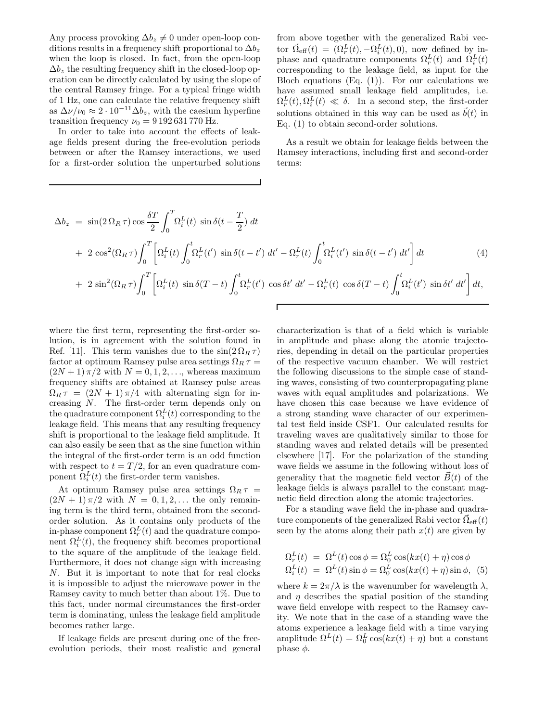Any process provoking  $\Delta b_z \neq 0$  under open-loop conditions results in a frequency shift proportional to  $\Delta b_z$ when the loop is closed. In fact, from the open-loop  $\Delta b_z$  the resulting frequency shift in the closed-loop operation can be directly calculated by using the slope of the central Ramsey fringe. For a typical fringe width of 1 Hz, one can calculate the relative frequency shift as  $\Delta \nu / \nu_0 \approx 2 \cdot 10^{-11} \Delta b_z$ , with the caesium hyperfine transition frequency  $\nu_0 = 9192631770 \text{ Hz}.$ 

In order to take into account the effects of leakage fields present during the free-evolution periods between or after the Ramsey interactions, we used for a first-order solution the unperturbed solutions from above together with the generalized Rabi vector  $\vec{\Omega}_{\text{eff}}(t) = (\Omega_r^L(t), -\Omega_i^L(t), 0)$ , now defined by inphase and quadrature components  $\Omega_r^L(t)$  and  $\Omega_i^L(t)$ corresponding to the leakage field, as input for the Bloch equations  $(Eq. (1))$ . For our calculations we have assumed small leakage field amplitudes, i.e.  $\Omega_r^L(t), \Omega_i^L(t) \ll \delta$ . In a second step, the first-order solutions obtained in this way can be used as  $\vec{b}(t)$  in Eq. (1) to obtain second-order solutions.

As a result we obtain for leakage fields between the Ramsey interactions, including first and second-order terms:

$$
\Delta b_z = \sin(2\,\Omega_R \tau)\cos\frac{\delta T}{2} \int_0^T \Omega_i^L(t) \sin\delta(t - \frac{T}{2}) dt \n+ 2\cos^2(\Omega_R \tau) \int_0^T \left[ \Omega_i^L(t) \int_0^t \Omega_r^L(t') \sin\delta(t - t') dt' - \Omega_r^L(t) \int_0^t \Omega_i^L(t') \sin\delta(t - t') dt' \right] dt \n+ 2\sin^2(\Omega_R \tau) \int_0^T \left[ \Omega_i^L(t) \sin\delta(T - t) \int_0^t \Omega_r^L(t') \cos\delta t' dt' - \Omega_r^L(t) \cos\delta(T - t) \int_0^t \Omega_i^L(t') \sin\delta t' dt' \right] dt,
$$
\n(4)

 $\Gamma$ 

where the first term, representing the first-order solution, is in agreement with the solution found in Ref. [11]. This term vanishes due to the  $\sin(2\Omega_R \tau)$ factor at optimum Ramsey pulse area settings  $\Omega_R \tau =$  $(2N+1)\pi/2$  with  $N=0,1,2,\ldots$ , whereas maximum frequency shifts are obtained at Ramsey pulse areas  $\Omega_R \tau = (2N + 1) \pi/4$  with alternating sign for increasing N. The first-order term depends only on the quadrature component  $\Omega_i^L(t)$  corresponding to the leakage field. This means that any resulting frequency shift is proportional to the leakage field amplitude. It can also easily be seen that as the sine function within the integral of the first-order term is an odd function with respect to  $t = T/2$ , for an even quadrature component  $\Omega_i^L(t)$  the first-order term vanishes.

At optimum Ramsey pulse area settings  $\Omega_R \tau =$  $(2N + 1)\pi/2$  with  $N = 0, 1, 2, \ldots$  the only remaining term is the third term, obtained from the secondorder solution. As it contains only products of the in-phase component  $\Omega_r^L(t)$  and the quadrature component  $\Omega_i^L(t)$ , the frequency shift becomes proportional to the square of the amplitude of the leakage field. Furthermore, it does not change sign with increasing N. But it is important to note that for real clocks it is impossible to adjust the microwave power in the Ramsey cavity to much better than about 1%. Due to this fact, under normal circumstances the first-order term is dominating, unless the leakage field amplitude becomes rather large.

If leakage fields are present during one of the freeevolution periods, their most realistic and general characterization is that of a field which is variable in amplitude and phase along the atomic trajectories, depending in detail on the particular properties of the respective vacuum chamber. We will restrict the following discussions to the simple case of standing waves, consisting of two counterpropagating plane waves with equal amplitudes and polarizations. We have chosen this case because we have evidence of a strong standing wave character of our experimental test field inside CSF1. Our calculated results for traveling waves are qualitatively similar to those for standing waves and related details will be presented elsewhere [17]. For the polarization of the standing wave fields we assume in the following without loss of generality that the magnetic field vector  $\vec{B}(t)$  of the leakage fields is always parallel to the constant magnetic field direction along the atomic trajectories.

For a standing wave field the in-phase and quadrature components of the generalized Rabi vector  $\vec{\Omega}_{\text{eff}}(t)$ seen by the atoms along their path  $x(t)$  are given by

$$
\Omega_r^L(t) = \Omega^L(t) \cos \phi = \Omega_0^L \cos(kx(t) + \eta) \cos \phi
$$
  

$$
\Omega_i^L(t) = \Omega^L(t) \sin \phi = \Omega_0^L \cos(kx(t) + \eta) \sin \phi, (5)
$$

where  $k = 2\pi/\lambda$  is the wavenumber for wavelength  $\lambda$ , and  $\eta$  describes the spatial position of the standing wave field envelope with respect to the Ramsey cavity. We note that in the case of a standing wave the atoms experience a leakage field with a time varying amplitude  $\Omega^L(t) = \Omega_0^L \cos(kx(t) + \eta)$  but a constant phase  $\phi$ .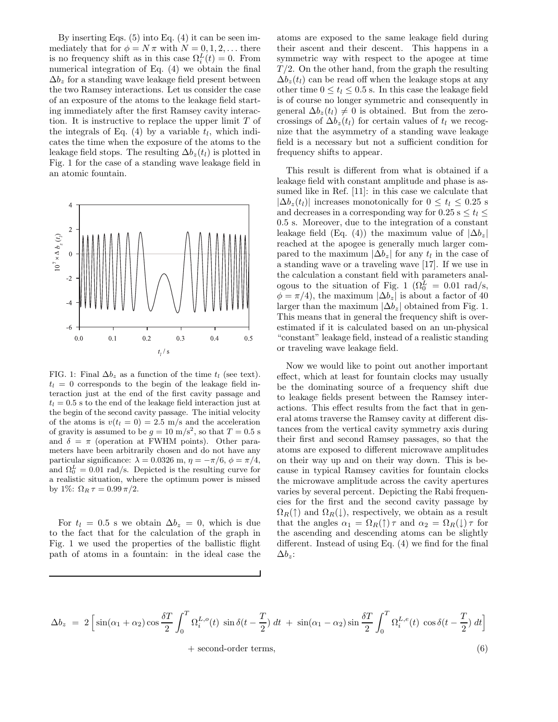By inserting Eqs. (5) into Eq. (4) it can be seen immediately that for  $\phi = N \pi$  with  $N = 0, 1, 2, \dots$  there is no frequency shift as in this case  $\Omega_i^L(t) = 0$ . From numerical integration of Eq. (4) we obtain the final  $\Delta b_z$  for a standing wave leakage field present between the two Ramsey interactions. Let us consider the case of an exposure of the atoms to the leakage field starting immediately after the first Ramsey cavity interaction. It is instructive to replace the upper limit T of the integrals of Eq.  $(4)$  by a variable  $t_l$ , which indicates the time when the exposure of the atoms to the leakage field stops. The resulting  $\Delta b_z(t_l)$  is plotted in Fig. 1 for the case of a standing wave leakage field in an atomic fountain.



FIG. 1: Final  $\Delta b_z$  as a function of the time  $t_l$  (see text).  $t_l = 0$  corresponds to the begin of the leakage field interaction just at the end of the first cavity passage and  $t_l = 0.5$  s to the end of the leakage field interaction just at the begin of the second cavity passage. The initial velocity of the atoms is  $v(t_l = 0) = 2.5$  m/s and the acceleration of gravity is assumed to be  $g = 10 \text{ m/s}^2$ , so that  $T = 0.5 \text{ s}$ and  $\delta = \pi$  (operation at FWHM points). Other parameters have been arbitrarily chosen and do not have any particular significance:  $\lambda = 0.0326$  m,  $\eta = -\pi/6$ ,  $\phi = \pi/4$ , and  $\Omega_0^L = 0.01$  rad/s. Depicted is the resulting curve for a resulting curve is missed a realistic situation, where the optimum power is missed by 1%:  $\Omega_R \tau = 0.99 \pi/2$ .

For  $t_l = 0.5$  s we obtain  $\Delta b_z = 0$ , which is due to the fact that for the calculation of the graph in Fig. 1 we used the properties of the ballistic flight path of atoms in a fountain: in the ideal case the atoms are exposed to the same leakage field during their ascent and their descent. This happens in a symmetric way with respect to the apogee at time  $T/2$ . On the other hand, from the graph the resulting  $\Delta b_z(t_l)$  can be read off when the leakage stops at any other time  $0 \le t_l \le 0.5$  s. In this case the leakage field is of course no longer symmetric and consequently in general  $\Delta b_z(t_l) \neq 0$  is obtained. But from the zerocrossings of  $\Delta b_z(t_l)$  for certain values of  $t_l$  we recognize that the asymmetry of a standing wave leakage field is a necessary but not a sufficient condition for frequency shifts to appear.

This result is different from what is obtained if a leakage field with constant amplitude and phase is assumed like in Ref. [11]: in this case we calculate that  $|\Delta b_z(t_l)|$  increases monotonically for  $0 \le t_l \le 0.25$  s and decreases in a corresponding way for  $0.25$  s  $\le t_l \le$ 0.5 s. Moreover, due to the integration of a constant leakage field (Eq. (4)) the maximum value of  $|\Delta b_z|$ reached at the apogee is generally much larger compared to the maximum  $|\Delta b_z|$  for any  $t_l$  in the case of a standing wave or a traveling wave [17]. If we use in the calculation a constant field with parameters analogous to the situation of Fig. 1 ( $\Omega_0^L = 0.01$  rad/s,  $\phi = \pi/4$ , the maximum  $|\Delta b_z|$  is about a factor of 40 larger than the maximum  $|\Delta b_z|$  obtained from Fig. 1. This means that in general the frequency shift is overestimated if it is calculated based on an un-physical "constant" leakage field, instead of a realistic standing or traveling wave leakage field.

Now we would like to point out another important effect, which at least for fountain clocks may usually be the dominating source of a frequency shift due to leakage fields present between the Ramsey interactions. This effect results from the fact that in general atoms traverse the Ramsey cavity at different distances from the vertical cavity symmetry axis during their first and second Ramsey passages, so that the atoms are exposed to different microwave amplitudes on their way up and on their way down. This is because in typical Ramsey cavities for fountain clocks the microwave amplitude across the cavity apertures varies by several percent. Depicting the Rabi frequencies for the first and the second cavity passage by  $\Omega_R(\uparrow)$  and  $\Omega_R(\downarrow)$ , respectively, we obtain as a result that the angles  $\alpha_1 = \Omega_R(\uparrow)\tau$  and  $\alpha_2 = \Omega_R(\downarrow)\tau$  for the ascending and descending atoms can be slightly different. Instead of using Eq. (4) we find for the final  $\Delta b_z$ :

$$
\Delta b_z = 2 \left[ \sin(\alpha_1 + \alpha_2) \cos \frac{\delta T}{2} \int_0^T \Omega_i^{L, o}(t) \sin \delta(t - \frac{T}{2}) dt + \sin(\alpha_1 - \alpha_2) \sin \frac{\delta T}{2} \int_0^T \Omega_i^{L, e}(t) \cos \delta(t - \frac{T}{2}) dt \right] + \text{second-order terms}, \tag{6}
$$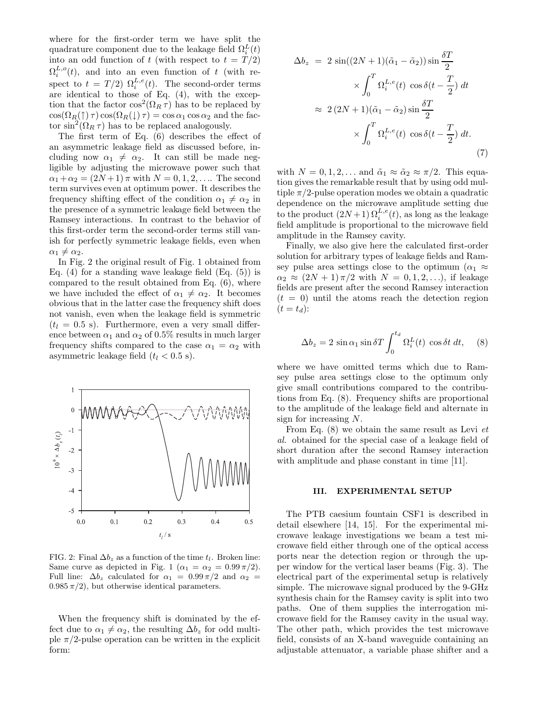where for the first-order term we have split the quadrature component due to the leakage field  $\Omega_i^L(t)$ into an odd function of t (with respect to  $t = T/2$ )  $\Omega_i^{L,\circ}(t)$ , and into an even function of t (with respect to  $t = T/2$ )  $\Omega_i^{L,e}(t)$ . The second-order terms are identical to those of Eq. (4), with the exception that the factor  $\cos^2(\Omega_R \tau)$  has to be replaced by  $\cos(\Omega_R(\uparrow)\tau)\cos(\Omega_R(\downarrow)\tau) = \cos\alpha_1\cos\alpha_2$  and the factor  $\sin^2(\Omega_R \tau)$  has to be replaced analogously.

The first term of Eq. (6) describes the effect of an asymmetric leakage field as discussed before, including now  $\alpha_1 \neq \alpha_2$ . It can still be made negligible by adjusting the microwave power such that  $\alpha_1 + \alpha_2 = (2N + 1) \pi$  with  $N = 0, 1, 2, \dots$  The second term survives even at optimum power. It describes the frequency shifting effect of the condition  $\alpha_1 \neq \alpha_2$  in the presence of a symmetric leakage field between the Ramsey interactions. In contrast to the behavior of this first-order term the second-order terms still vanish for perfectly symmetric leakage fields, even when  $\alpha_1 \neq \alpha_2$ .

In Fig. 2 the original result of Fig. 1 obtained from Eq. (4) for a standing wave leakage field  $(Eq. (5))$  is compared to the result obtained from Eq. (6), where we have included the effect of  $\alpha_1 \neq \alpha_2$ . It becomes obvious that in the latter case the frequency shift does not vanish, even when the leakage field is symmetric  $(t_l = 0.5 \text{ s})$ . Furthermore, even a very small difference between  $\alpha_1$  and  $\alpha_2$  of 0.5% results in much larger frequency shifts compared to the case  $\alpha_1 = \alpha_2$  with asymmetric leakage field  $(t_l < 0.5 \text{ s}).$ 



FIG. 2: Final  $\Delta b_z$  as a function of the time  $t_l$ . Broken line: Same curve as depicted in Fig. 1 ( $\alpha_1 = \alpha_2 = 0.99 \pi/2$ ). Full line:  $\Delta b_z$  calculated for  $\alpha_1 = 0.99 \pi/2$  and  $\alpha_2 =$  $0.985 \pi/2$ , but otherwise identical parameters.

When the frequency shift is dominated by the effect due to  $\alpha_1 \neq \alpha_2$ , the resulting  $\Delta b_z$  for odd multiple  $\pi/2$ -pulse operation can be written in the explicit form:

$$
\Delta b_z = 2 \sin((2N+1)(\tilde{\alpha}_1 - \tilde{\alpha}_2)) \sin \frac{\delta T}{2}
$$

$$
\times \int_0^T \Omega_i^{L,e}(t) \cos \delta(t - \frac{T}{2}) dt
$$

$$
\approx 2 (2N+1)(\tilde{\alpha}_1 - \tilde{\alpha}_2) \sin \frac{\delta T}{2}
$$

$$
\times \int_0^T \Omega_i^{L,e}(t) \cos \delta(t - \frac{T}{2}) dt.
$$
(7)

with  $N = 0, 1, 2, \dots$  and  $\tilde{\alpha}_1 \approx \tilde{\alpha}_2 \approx \pi/2$ . This equation gives the remarkable result that by using odd multiple  $\pi/2$ -pulse operation modes we obtain a quadratic dependence on the microwave amplitude setting due to the product  $(2N+1) \Omega_i^{L,e}(t)$ , as long as the leakage field amplitude is proportional to the microwave field amplitude in the Ramsey cavity.

Finally, we also give here the calculated first-order solution for arbitrary types of leakage fields and Ramsey pulse area settings close to the optimum  $(\alpha_1 \approx$  $\alpha_2 \approx (2N+1)\pi/2$  with  $N = 0, 1, 2, \ldots$ , if leakage fields are present after the second Ramsey interaction  $(t = 0)$  until the atoms reach the detection region  $(t = t_d):$ 

$$
\Delta b_z = 2 \sin \alpha_1 \sin \delta T \int_0^{t_d} \Omega_i^L(t) \cos \delta t \, dt, \quad (8)
$$

where we have omitted terms which due to Ramsey pulse area settings close to the optimum only give small contributions compared to the contributions from Eq. (8). Frequency shifts are proportional to the amplitude of the leakage field and alternate in sign for increasing N.

From Eq. (8) we obtain the same result as Levi *et al.* obtained for the special case of a leakage field of short duration after the second Ramsey interaction with amplitude and phase constant in time [11].

## **III. EXPERIMENTAL SETUP**

The PTB caesium fountain CSF1 is described in detail elsewhere [14, 15]. For the experimental microwave leakage investigations we beam a test microwave field either through one of the optical access ports near the detection region or through the upper window for the vertical laser beams (Fig. 3). The electrical part of the experimental setup is relatively simple. The microwave signal produced by the 9-GHz synthesis chain for the Ramsey cavity is split into two paths. One of them supplies the interrogation microwave field for the Ramsey cavity in the usual way. The other path, which provides the test microwave field, consists of an X-band waveguide containing an adjustable attenuator, a variable phase shifter and a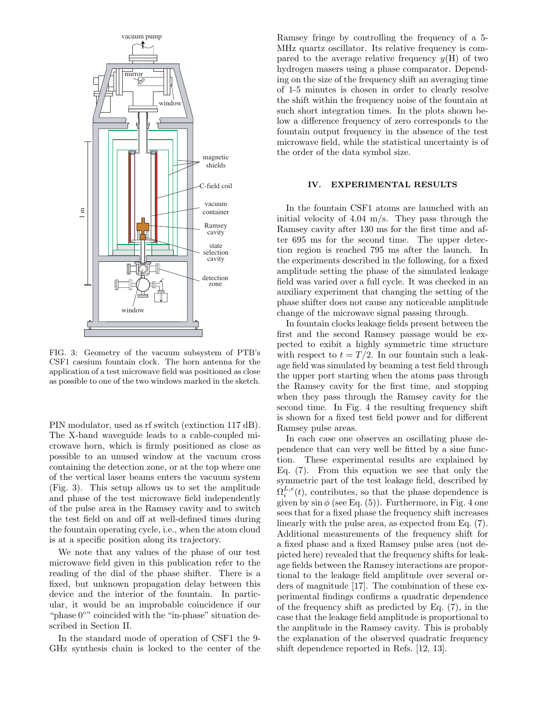

FIG. 3: Geometry of the vacuum subsystem of PTB's CSF1 caesium fountain clock. The horn antenna for the application of a test microwave field was positioned as close as possible to one of the two windows marked in the sketch.

PIN modulator, used as rf switch (extinction 117 dB). The X-band waveguide leads to a cable-coupled microwave horn, which is firmly positioned as close as possible to an unused window at the vacuum cross containing the detection zone, or at the top where one of the vertical laser beams enters the vacuum system (Fig. 3). This setup allows us to set the amplitude and phase of the test microwave field independently of the pulse area in the Ramsey cavity and to switch the test field on and off at well-defined times during the fountain operating cycle, i.e., when the atom cloud is at a specific position along its trajectory.

We note that any values of the phase of our test microwave field given in this publication refer to the reading of the dial of the phase shifter. There is a fixed, but unknown propagation delay between this device and the interior of the fountain. In particular, it would be an improbable coincidence if our "phase 0◦" coincided with the "in-phase" situation described in Section II.

In the standard mode of operation of CSF1 the 9- GHz synthesis chain is locked to the center of the Ramsey fringe by controlling the frequency of a 5- MHz quartz oscillator. Its relative frequency is compared to the average relative frequency  $y(H)$  of two hydrogen masers using a phase comparator. Depending on the size of the frequency shift an averaging time of 1-5 minutes is chosen in order to clearly resolve the shift within the frequency noise of the fountain at such short integration times. In the plots shown below a difference frequency of zero corresponds to the fountain output frequency in the absence of the test microwave field, while the statistical uncertainty is of the order of the data symbol size.

### **IV. EXPERIMENTAL RESULTS**

In the fountain CSF1 atoms are launched with an initial velocity of 4.04 m/s. They pass through the Ramsey cavity after 130 ms for the first time and after 695 ms for the second time. The upper detection region is reached 795 ms after the launch. In the experiments described in the following, for a fixed amplitude setting the phase of the simulated leakage field was varied over a full cycle. It was checked in an auxiliary experiment that changing the setting of the phase shifter does not cause any noticeable amplitude change of the microwave signal passing through.

In fountain clocks leakage fields present between the first and the second Ramsey passage would be expected to exibit a highly symmetric time structure with respect to  $t = T/2$ . In our fountain such a leakage field was simulated by beaming a test field through the upper port starting when the atoms pass through the Ramsey cavity for the first time, and stopping when they pass through the Ramsey cavity for the second time. In Fig. 4 the resulting frequency shift is shown for a fixed test field power and for different Ramsey pulse areas.

In each case one observes an oscillating phase dependence that can very well be fitted by a sine function. These experimental results are explained by Eq. (7). From this equation we see that only the symmetric part of the test leakage field, described by  $\Omega_i^{L,e}(t)$ , contributes, so that the phase dependence is given by  $\sin \phi$  (see Eq. (5)). Furthermore, in Fig. 4 one sees that for a fixed phase the frequency shift increases linearly with the pulse area, as expected from Eq. (7). Additional measurements of the frequency shift for a fixed phase and a fixed Ramsey pulse area (not depicted here) revealed that the frequency shifts for leakage fields between the Ramsey interactions are proportional to the leakage field amplitude over several orders of magnitude [17]. The combination of these experimental findings confirms a quadratic dependence of the frequency shift as predicted by Eq. (7), in the case that the leakage field amplitude is proportional to the amplitude in the Ramsey cavity. This is probably the explanation of the observed quadratic frequency shift dependence reported in Refs. [12, 13].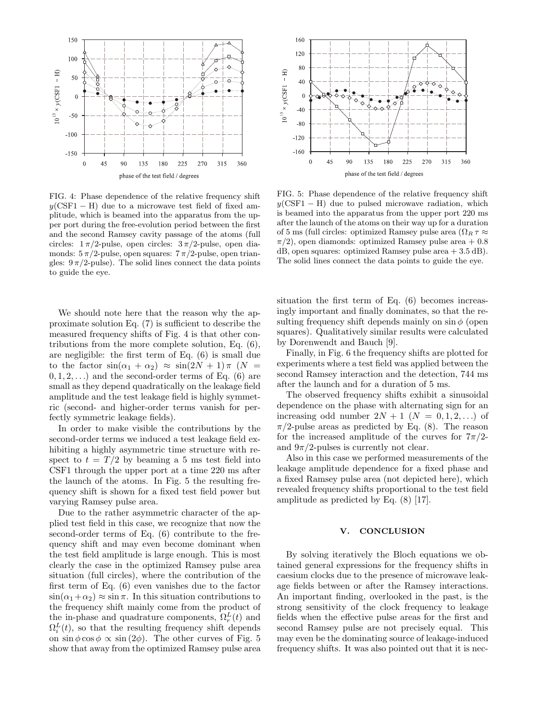

FIG. 4: Phase dependence of the relative frequency shift  $y(CSF1 - H)$  due to a microwave test field of fixed amplitude, which is beamed into the apparatus from the upper port during the free-evolution period between the first and the second Ramsey cavity passage of the atoms (full circles:  $1 \pi/2$ -pulse, open circles:  $3 \pi/2$ -pulse, open diamonds:  $5 \pi/2$ -pulse, open squares:  $7 \pi/2$ -pulse, open triangles:  $9 \pi/2$ -pulse). The solid lines connect the data points to guide the eye.

We should note here that the reason why the approximate solution Eq. (7) is sufficient to describe the measured frequency shifts of Fig. 4 is that other contributions from the more complete solution, Eq. (6), are negligible: the first term of Eq. (6) is small due to the factor  $sin(\alpha_1 + \alpha_2) \approx sin(2N + 1)\pi$  (N =  $(0, 1, 2, \ldots)$  and the second-order terms of Eq. (6) are small as they depend quadratically on the leakage field amplitude and the test leakage field is highly symmetric (second- and higher-order terms vanish for perfectly symmetric leakage fields).

In order to make visible the contributions by the second-order terms we induced a test leakage field exhibiting a highly asymmetric time structure with respect to  $t = T/2$  by beaming a 5 ms test field into CSF1 through the upper port at a time 220 ms after the launch of the atoms. In Fig. 5 the resulting frequency shift is shown for a fixed test field power but varying Ramsey pulse area.

Due to the rather asymmetric character of the applied test field in this case, we recognize that now the second-order terms of Eq. (6) contribute to the frequency shift and may even become dominant when the test field amplitude is large enough. This is most clearly the case in the optimized Ramsey pulse area situation (full circles), where the contribution of the first term of Eq. (6) even vanishes due to the factor  $\sin(\alpha_1+\alpha_2) \approx \sin \pi$ . In this situation contributions to the frequency shift mainly come from the product of the in-phase and quadrature components,  $\Omega_r^L(t)$  and  $\Omega_i^L(t)$ , so that the resulting frequency shift depends on  $\sin \phi \cos \phi \propto \sin (2\phi)$ . The other curves of Fig. 5 show that away from the optimized Ramsey pulse area



FIG. 5: Phase dependence of the relative frequency shift  $y(CSF1 - H)$  due to pulsed microwave radiation, which is beamed into the apparatus from the upper port 220 ms after the launch of the atoms on their way up for a duration of 5 ms (full circles: optimized Ramsey pulse area  $(\Omega_R \tau \approx$  $\pi/2$ , open diamonds: optimized Ramsey pulse area + 0.8  $dB$ , open squares: optimized Ramsey pulse area  $+3.5$  dB). The solid lines connect the data points to guide the eye.

situation the first term of Eq. (6) becomes increasingly important and finally dominates, so that the resulting frequency shift depends mainly on  $\sin \phi$  (open squares). Qualitatively similar results were calculated by Dorenwendt and Bauch [9].

Finally, in Fig. 6 the frequency shifts are plotted for experiments where a test field was applied between the second Ramsey interaction and the detection, 744 ms after the launch and for a duration of 5 ms.

The observed frequency shifts exhibit a sinusoidal dependence on the phase with alternating sign for an increasing odd number  $2N + 1$   $(N = 0, 1, 2, ...)$  of  $\pi/2$ -pulse areas as predicted by Eq. (8). The reason for the increased amplitude of the curves for  $7\pi/2$ and  $9\pi/2$ -pulses is currently not clear.

Also in this case we performed measurements of the leakage amplitude dependence for a fixed phase and a fixed Ramsey pulse area (not depicted here), which revealed frequency shifts proportional to the test field amplitude as predicted by Eq. (8) [17].

## **V. CONCLUSION**

By solving iteratively the Bloch equations we obtained general expressions for the frequency shifts in caesium clocks due to the presence of microwave leakage fields between or after the Ramsey interactions. An important finding, overlooked in the past, is the strong sensitivity of the clock frequency to leakage fields when the effective pulse areas for the first and second Ramsey pulse are not precisely equal. This may even be the dominating source of leakage-induced frequency shifts. It was also pointed out that it is nec-